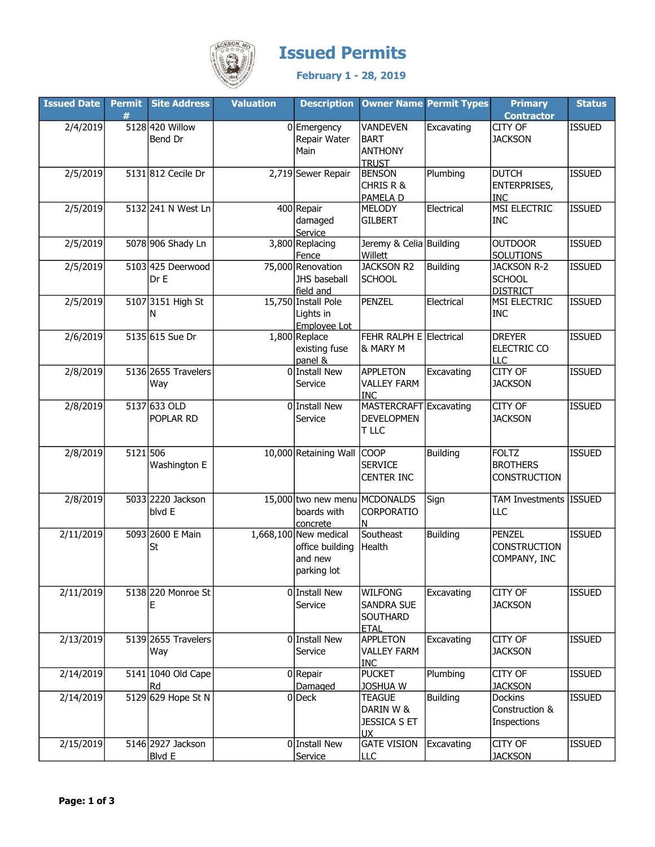

## **ESON, Apple 75**<br>*ENGLE* **ISSUED PErmits**

February 1 - 28, 2019

| <b>Issued Date</b> |          | Permit Site Address | <b>Valuation</b> | <b>Description</b>            | <b>Owner Name Permit Types</b> |                 | <b>Primary</b>                         | <b>Status</b> |
|--------------------|----------|---------------------|------------------|-------------------------------|--------------------------------|-----------------|----------------------------------------|---------------|
|                    | #        |                     |                  |                               |                                |                 | <b>Contractor</b>                      |               |
| 2/4/2019           |          | 5128 420 Willow     |                  | 0 Emergency                   | <b>VANDEVEN</b>                | Excavating      | CITY OF                                | <b>ISSUED</b> |
|                    |          | Bend Dr             |                  | Repair Water                  | <b>BART</b>                    |                 | <b>JACKSON</b>                         |               |
|                    |          |                     |                  | Main                          | <b>ANTHONY</b>                 |                 |                                        |               |
|                    |          |                     |                  |                               | <b>TRUST</b>                   |                 |                                        |               |
| 2/5/2019           |          | 5131 812 Cecile Dr  |                  | 2,719 Sewer Repair            | <b>BENSON</b>                  | Plumbing        | <b>DUTCH</b>                           | <b>ISSUED</b> |
|                    |          |                     |                  |                               | CHRIS R &                      |                 | <b>ENTERPRISES,</b>                    |               |
|                    |          |                     |                  |                               | PAMELA D                       |                 | <b>INC</b>                             |               |
| 2/5/2019           |          | 5132 241 N West Ln  |                  | 400 Repair                    | <b>MELODY</b>                  | Electrical      | MSI ELECTRIC                           | <b>ISSUED</b> |
|                    |          |                     |                  | damaged                       | <b>GILBERT</b>                 |                 | <b>INC</b>                             |               |
|                    |          |                     |                  | Service                       |                                |                 |                                        |               |
| 2/5/2019           |          | 5078 906 Shady Ln   |                  | 3,800 Replacing               | Jeremy & Celia Building        |                 | <b>OUTDOOR</b>                         | <b>ISSUED</b> |
|                    |          | 5103 425 Deerwood   |                  | Fence<br>75,000 Renovation    | Willett<br><b>JACKSON R2</b>   | <b>Building</b> | <b>SOLUTIONS</b><br><b>JACKSON R-2</b> | <b>ISSUED</b> |
| 2/5/2019           |          | Dr E                |                  | JHS baseball                  | <b>SCHOOL</b>                  |                 | <b>SCHOOL</b>                          |               |
|                    |          |                     |                  | field and                     |                                |                 | <b>DISTRICT</b>                        |               |
| 2/5/2019           |          | 5107 3151 High St   |                  | 15,750 Install Pole           | <b>PENZEL</b>                  | Electrical      | MSI ELECTRIC                           | <b>ISSUED</b> |
|                    |          | N                   |                  | Lights in                     |                                |                 | <b>INC</b>                             |               |
|                    |          |                     |                  | Employee Lot                  |                                |                 |                                        |               |
| 2/6/2019           |          | 5135 615 Sue Dr     |                  | $1,800$ Replace               | FEHR RALPH E Electrical        |                 | <b>DREYER</b>                          | <b>ISSUED</b> |
|                    |          |                     |                  | existing fuse                 | & MARY M                       |                 | ELECTRIC CO                            |               |
|                    |          |                     |                  | panel &                       |                                |                 | <b>LLC</b>                             |               |
| 2/8/2019           |          | 5136 2655 Travelers |                  | 0 Install New                 | <b>APPLETON</b>                | Excavating      | <b>CITY OF</b>                         | <b>ISSUED</b> |
|                    |          | Way                 |                  | Service                       | <b>VALLEY FARM</b>             |                 | <b>JACKSON</b>                         |               |
|                    |          |                     |                  |                               | <b>INC</b>                     |                 |                                        |               |
| 2/8/2019           |          | 5137 633 OLD        |                  | 0 Install New                 | MASTERCRAFT Excavating         |                 | CITY OF                                | <b>ISSUED</b> |
|                    |          | POPLAR RD           |                  | Service                       | <b>DEVELOPMEN</b>              |                 | <b>JACKSON</b>                         |               |
|                    |          |                     |                  |                               | T LLC                          |                 |                                        |               |
|                    |          |                     |                  |                               |                                |                 |                                        |               |
| 2/8/2019           | 5121 506 |                     |                  | 10,000 Retaining Wall COOP    |                                | <b>Building</b> | <b>FOLTZ</b>                           | <b>ISSUED</b> |
|                    |          | Washington E        |                  |                               | <b>SERVICE</b>                 |                 | <b>BROTHERS</b>                        |               |
|                    |          |                     |                  |                               | <b>CENTER INC</b>              |                 | <b>CONSTRUCTION</b>                    |               |
|                    |          |                     |                  |                               |                                |                 |                                        |               |
| 2/8/2019           |          | 5033 2220 Jackson   |                  | 15,000 two new menu MCDONALDS |                                | Sign            | TAM Investments ISSUED                 |               |
|                    |          | blvd E              |                  | boards with                   | CORPORATIO                     |                 | LLC                                    |               |
|                    |          |                     |                  | concrete                      | N                              |                 |                                        |               |
| 2/11/2019          |          | 5093 2600 E Main    |                  | $1,668,100$ New medical       | Southeast                      | <b>Building</b> | <b>PENZEL</b>                          | <b>ISSUED</b> |
|                    |          | St                  |                  | office building               | Health                         |                 | <b>CONSTRUCTION</b>                    |               |
|                    |          |                     |                  | and new                       |                                |                 | COMPANY, INC                           |               |
|                    |          |                     |                  | parking lot                   |                                |                 |                                        |               |
| 2/11/2019          |          | 5138 220 Monroe St  |                  | 0 Install New                 | <b>WILFONG</b>                 |                 | CITY OF                                | <b>ISSUED</b> |
|                    |          |                     |                  | Service                       | SANDRA SUE                     | Excavating      | <b>JACKSON</b>                         |               |
|                    |          | Ε                   |                  |                               | <b>SOUTHARD</b>                |                 |                                        |               |
|                    |          |                     |                  |                               | <b>ETAL</b>                    |                 |                                        |               |
| 2/13/2019          |          | 5139 2655 Travelers |                  | 0 Install New                 | APPLETON                       | Excavating      | CITY OF                                | <b>ISSUED</b> |
|                    |          | Way                 |                  | Service                       | <b>VALLEY FARM</b>             |                 | <b>JACKSON</b>                         |               |
|                    |          |                     |                  |                               | <b>INC</b>                     |                 |                                        |               |
| 2/14/2019          |          | 5141 1040 Old Cape  |                  | $0$ Repair                    | <b>PUCKET</b>                  | Plumbing        | CITY OF                                | <b>ISSUED</b> |
|                    |          | Rd                  |                  | Damaged                       | <b>JOSHUA W</b>                |                 | <b>JACKSON</b>                         |               |
| 2/14/2019          |          | 5129 629 Hope St N  |                  | $0$ Deck                      | <b>TEAGUE</b>                  | <b>Building</b> | <b>Dockins</b>                         | <b>ISSUED</b> |
|                    |          |                     |                  |                               | DARIN W &                      |                 | Construction &                         |               |
|                    |          |                     |                  |                               | <b>JESSICA S ET</b>            |                 | Inspections                            |               |
|                    |          |                     |                  |                               | <b>UX</b>                      |                 |                                        |               |
| 2/15/2019          |          | 5146 2927 Jackson   |                  | 0 Install New                 | <b>GATE VISION</b>             | Excavating      | CITY OF                                | <b>ISSUED</b> |
|                    |          | <b>Blvd E</b>       |                  | Service                       | LLC                            |                 | <b>JACKSON</b>                         |               |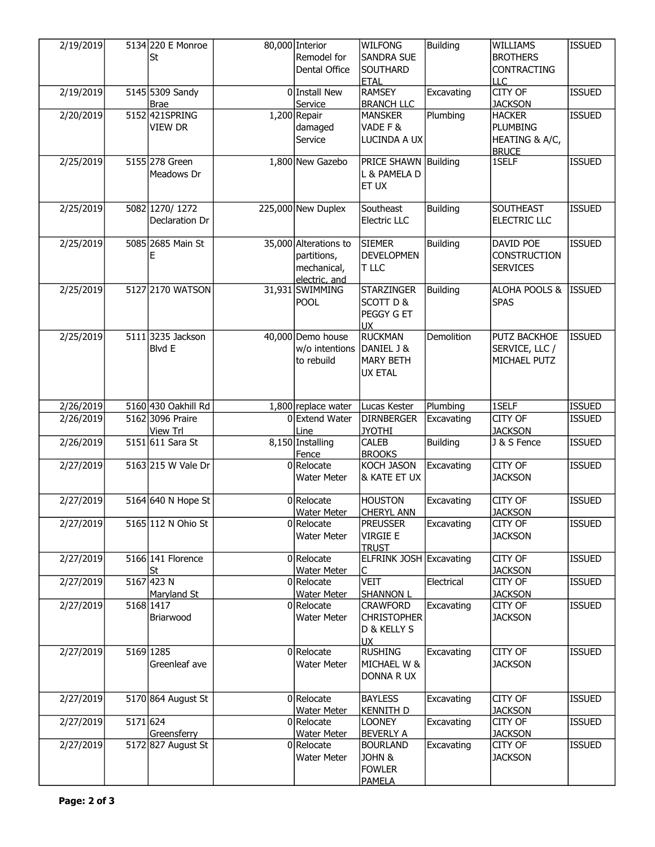| 2/19/2019 |          | 5134 220 E Monroe<br>St            | 80,000 Interior<br>Remodel for<br>Dental Office                      | <b>WILFONG</b><br>SANDRA SUE<br>SOUTHARD                               | <b>Building</b> | <b>WILLIAMS</b><br><b>BROTHERS</b><br><b>CONTRACTING</b>           | <b>ISSUED</b> |
|-----------|----------|------------------------------------|----------------------------------------------------------------------|------------------------------------------------------------------------|-----------------|--------------------------------------------------------------------|---------------|
|           |          |                                    |                                                                      | <b>ETAL</b>                                                            |                 | LLC                                                                |               |
| 2/19/2019 |          | 5145 5309 Sandy<br><b>Brae</b>     | 0 Install New<br>Service                                             | <b>RAMSEY</b><br><b>BRANCH LLC</b>                                     | Excavating      | <b>CITY OF</b><br><b>JACKSON</b>                                   | <b>ISSUED</b> |
| 2/20/2019 |          | 5152 421SPRING<br>VIEW DR          | $1,200$ Repair<br>damaged<br>Service                                 | <b>MANSKER</b><br>VADE F &<br>LUCINDA A UX                             | Plumbing        | <b>HACKER</b><br><b>PLUMBING</b><br>HEATING & A/C,<br><b>BRUCE</b> | <b>ISSUED</b> |
| 2/25/2019 |          | 5155 278 Green<br>Meadows Dr       | 1,800 New Gazebo                                                     | PRICE SHAWN Building<br>L & PAMELA D<br>ET UX                          |                 | 1SELF                                                              | <b>ISSUED</b> |
| 2/25/2019 |          | 5082 1270/1272<br>Declaration Dr   | 225,000 New Duplex                                                   | Southeast<br>Electric LLC                                              | <b>Building</b> | <b>SOUTHEAST</b><br><b>ELECTRIC LLC</b>                            | <b>ISSUED</b> |
| 2/25/2019 |          | 5085 2685 Main St<br>E             | 35,000 Alterations to<br>partitions,<br>mechanical,<br>electric, and | <b>SIEMER</b><br><b>DEVELOPMEN</b><br>T LLC                            | <b>Building</b> | DAVID POE<br><b>CONSTRUCTION</b><br><b>SERVICES</b>                | <b>ISSUED</b> |
| 2/25/2019 |          | 5127 2170 WATSON                   | 31,931 SWIMMING<br><b>POOL</b>                                       | <b>STARZINGER</b><br>SCOTT D &<br>PEGGY G ET<br><b>UX</b>              | <b>Building</b> | ALOHA POOLS &<br><b>SPAS</b>                                       | <b>ISSUED</b> |
| 2/25/2019 |          | 5111 3235 Jackson<br><b>Blvd E</b> | 40,000 Demo house<br>w/o intentions<br>to rebuild                    | <b>RUCKMAN</b><br>DANIEL J &<br><b>MARY BETH</b><br><b>UX ETAL</b>     | Demolition      | PUTZ BACKHOE<br>SERVICE, LLC /<br>MICHAEL PUTZ                     | <b>ISSUED</b> |
| 2/26/2019 |          | 5160 430 Oakhill Rd                | $1,800$ replace water                                                | Lucas Kester                                                           | Plumbing        | 1SELF                                                              | <b>ISSUED</b> |
| 2/26/2019 |          | 5162 3096 Praire<br>View Trl       | 0 Extend Water<br>Line                                               | <b>DIRNBERGER</b><br><b>JYOTHI</b>                                     | Excavating      | CITY OF<br><b>JACKSON</b>                                          | <b>ISSUED</b> |
| 2/26/2019 |          | 5151 611 Sara St                   | 8,150 Installing<br>Fence                                            | CALEB<br><b>BROOKS</b>                                                 | <b>Building</b> | J & S Fence                                                        | <b>ISSUED</b> |
| 2/27/2019 |          | 5163 215 W Vale Dr                 | $0$ Relocate<br><b>Water Meter</b>                                   | <b>KOCH JASON</b><br>& KATE ET UX                                      | Excavating      | CITY OF<br><b>JACKSON</b>                                          | <b>ISSUED</b> |
| 2/27/2019 |          | 5164 640 N Hope St                 | $0$ Relocate<br>Water Meter                                          | <b>HOUSTON</b><br><b>CHERYL ANN</b>                                    | Excavating      | CITY OF<br><b>JACKSON</b>                                          | <b>ISSUED</b> |
| 2/27/2019 |          | 5165 112 N Ohio St                 | $0 $ Relocate<br><b>Water Meter</b>                                  | <b>PREUSSER</b><br><b>VIRGIE E</b><br><b>TRUST</b>                     | Excavating      | CITY OF<br><b>JACKSON</b>                                          | <b>ISSUED</b> |
| 2/27/2019 |          | 5166 141 Florence<br><u>St</u>     | $0$ Relocate<br><b>Water Meter</b>                                   | ELFRINK JOSH Excavating<br>C                                           |                 | CITY OF<br><b>JACKSON</b>                                          | <b>ISSUED</b> |
| 2/27/2019 |          | 5167 423 N<br>Maryland St          | $0$ Relocate<br><b>Water Meter</b>                                   | <b>VEIT</b><br><b>SHANNON L</b>                                        | Electrical      | CITY OF<br><b>JACKSON</b>                                          | <b>ISSUED</b> |
| 2/27/2019 |          | 5168 1417<br>Briarwood             | $0 $ Relocate<br>Water Meter                                         | CRAWFORD<br><b>CHRISTOPHER</b><br>D & KELLY S<br><b>UX</b>             | Excavating      | CITY OF<br><b>JACKSON</b>                                          | <b>ISSUED</b> |
| 2/27/2019 |          | 5169 1285<br>Greenleaf ave         | 0 Relocate<br><b>Water Meter</b>                                     | <b>RUSHING</b><br>MICHAEL W &<br>DONNA R UX                            | Excavating      | CITY OF<br><b>JACKSON</b>                                          | <b>ISSUED</b> |
| 2/27/2019 |          | 5170 864 August St                 | $0$ Relocate<br><b>Water Meter</b>                                   | <b>BAYLESS</b><br><b>KENNITH D</b>                                     | Excavating      | CITY OF<br><b>JACKSON</b>                                          | <b>ISSUED</b> |
| 2/27/2019 | 5171 624 | Greensferry                        | 0 Relocate<br><b>Water Meter</b>                                     | <b>LOONEY</b><br><b>BEVERLY A</b>                                      | Excavating      | CITY OF<br><b>JACKSON</b>                                          | <b>ISSUED</b> |
| 2/27/2019 |          | 5172 827 August St                 | $0 $ Relocate<br><b>Water Meter</b>                                  | <b>BOURLAND</b><br><b>JOHN &amp;</b><br><b>FOWLER</b><br><b>PAMELA</b> | Excavating      | CITY OF<br><b>JACKSON</b>                                          | <b>ISSUED</b> |